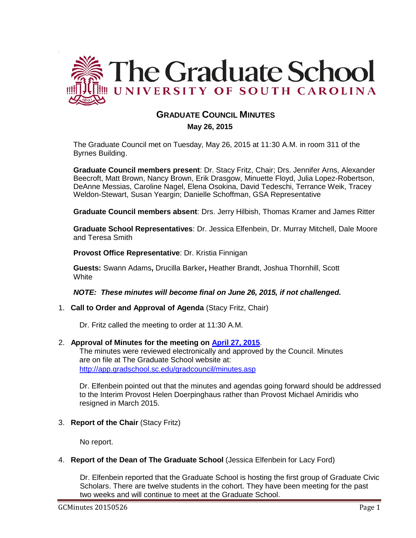

# **GRADUATE COUNCIL MINUTES**

 **May 26, 2015**

The Graduate Council met on Tuesday, May 26, 2015 at 11:30 A.M. in room 311 of the Byrnes Building.

**Graduate Council members present**: Dr. Stacy Fritz, Chair; Drs. Jennifer Arns, Alexander Beecroft, Matt Brown, Nancy Brown, Erik Drasgow, Minuette Floyd, Julia Lopez-Robertson, DeAnne Messias, Caroline Nagel, Elena Osokina, David Tedeschi, Terrance Weik, Tracey Weldon-Stewart, Susan Yeargin; Danielle Schoffman, GSA Representative

**Graduate Council members absent**: Drs. Jerry Hilbish, Thomas Kramer and James Ritter

**Graduate School Representatives**: Dr. Jessica Elfenbein, Dr. Murray Mitchell, Dale Moore and Teresa Smith

**Provost Office Representative**: Dr. Kristia Finnigan

**Guests:** Swann Adams**,** Drucilla Barker**,** Heather Brandt, Joshua Thornhill, Scott **White** 

*NOTE: These minutes will become final on June 26, 2015, if not challenged.*

1. **Call to Order and Approval of Agenda** (Stacy Fritz, Chair)

Dr. Fritz called the meeting to order at 11:30 A.M.

### 2. **Approval of Minutes for the meeting on [April 27, 2015](http://gradschool.sc.edu/facstaff/gradcouncil/2014/GC%20Minutes%204-27-15.pdf)**.

The minutes were reviewed electronically and approved by the Council. Minutes are on file at The Graduate School website at: <http://app.gradschool.sc.edu/gradcouncil/minutes.asp>

Dr. Elfenbein pointed out that the minutes and agendas going forward should be addressed to the Interim Provost Helen Doerpinghaus rather than Provost Michael Amiridis who resigned in March 2015.

3. **Report of the Chair** (Stacy Fritz)

No report.

.

### 4. **Report of the Dean of The Graduate School** (Jessica Elfenbein for Lacy Ford)

Dr. Elfenbein reported that the Graduate School is hosting the first group of Graduate Civic Scholars. There are twelve students in the cohort. They have been meeting for the past two weeks and will continue to meet at the Graduate School.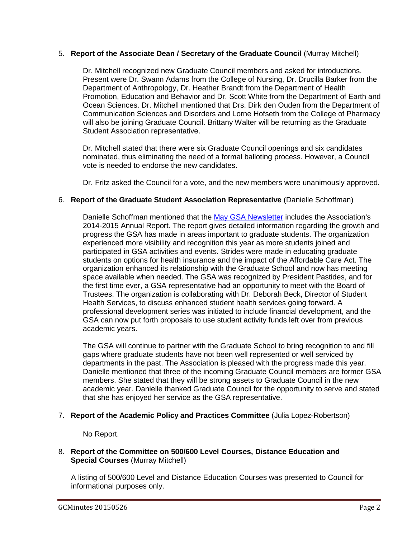### 5. **Report of the Associate Dean / Secretary of the Graduate Council** (Murray Mitchell)

Dr. Mitchell recognized new Graduate Council members and asked for introductions. Present were Dr. Swann Adams from the College of Nursing, Dr. Drucilla Barker from the Department of Anthropology, Dr. Heather Brandt from the Department of Health Promotion, Education and Behavior and Dr. Scott White from the Department of Earth and Ocean Sciences. Dr. Mitchell mentioned that Drs. Dirk den Ouden from the Department of Communication Sciences and Disorders and Lorne Hofseth from the College of Pharmacy will also be joining Graduate Council. Brittany Walter will be returning as the Graduate Student Association representative.

Dr. Mitchell stated that there were six Graduate Council openings and six candidates nominated, thus eliminating the need of a formal balloting process. However, a Council vote is needed to endorse the new candidates.

Dr. Fritz asked the Council for a vote, and the new members were unanimously approved.

### 6. **Report of the Graduate Student Association Representative** (Danielle Schoffman)

Danielle Schoffman mentioned that the May [GSA Newsletter](ttp://gradschool.sc.edu/facstaff/gradcouncil/2014/GSA%20Newsletter%20w%20annual%20report%20) includes the Association's 2014-2015 Annual Report. The report gives detailed information regarding the growth and progress the GSA has made in areas important to graduate students. The organization experienced more visibility and recognition this year as more students joined and participated in GSA activities and events. Strides were made in educating graduate students on options for health insurance and the impact of the Affordable Care Act. The organization enhanced its relationship with the Graduate School and now has meeting space available when needed. The GSA was recognized by President Pastides, and for the first time ever, a GSA representative had an opportunity to meet with the Board of Trustees. The organization is collaborating with Dr. Deborah Beck, Director of Student Health Services, to discuss enhanced student health services going forward. A professional development series was initiated to include financial development, and the GSA can now put forth proposals to use student activity funds left over from previous academic years.

The GSA will continue to partner with the Graduate School to bring recognition to and fill gaps where graduate students have not been well represented or well serviced by departments in the past. The Association is pleased with the progress made this year. Danielle mentioned that three of the incoming Graduate Council members are former GSA members. She stated that they will be strong assets to Graduate Council in the new academic year. Danielle thanked Graduate Council for the opportunity to serve and stated that she has enjoyed her service as the GSA representative.

### 7. **Report of the Academic Policy and Practices Committee** (Julia Lopez-Robertson)

No Report.

### 8. **Report of the Committee on 500/600 Level Courses, Distance Education and Special Courses** (Murray Mitchell)

A listing of 500/600 Level and Distance Education Courses was presented to Council for informational purposes only.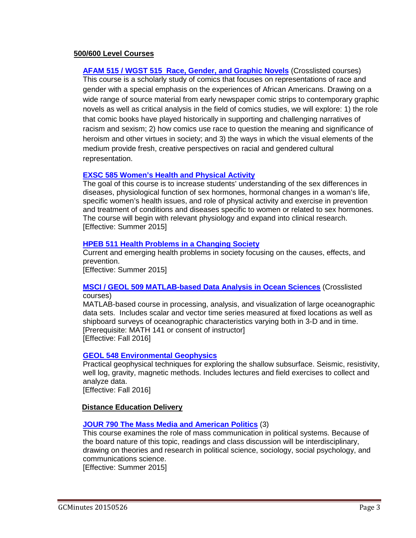### **500/600 Level Courses**

**[AFAM 515 / WGST 515 Race, Gender, and Graphic Novels](http://gradschool.sc.edu/facstaff/gradcouncil/2014/AFAM%20515-WGST%20515%20crosslist%20syllabus.pdf)** (Crosslisted courses) This course is a scholarly study of comics that focuses on representations of race and gender with a special emphasis on the experiences of African Americans. Drawing on a wide range of source material from early newspaper comic strips to contemporary graphic novels as well as critical analysis in the field of comics studies, we will explore: 1) the role that comic books have played historically in supporting and challenging narratives of racism and sexism; 2) how comics use race to question the meaning and significance of heroism and other virtues in society; and 3) the ways in which the visual elements of the medium provide fresh, creative perspectives on racial and gendered cultural representation.

### **[EXSC 585 Women's Health and Physical Activity](http://gradschool.sc.edu/facstaff/gradcouncil/2014/Syllabus%20Women)**

The goal of this course is to increase students' understanding of the sex differences in diseases, physiological function of sex hormones, hormonal changes in a woman's life, specific women's health issues, and role of physical activity and exercise in prevention and treatment of conditions and diseases specific to women or related to sex hormones. The course will begin with relevant physiology and expand into clinical research. [Effective: Summer 2015]

### **[HPEB 511 Health Problems in a Changing Society](http://gradschool.sc.edu/facstaff/gradcouncil/2014/HPEB%20511.pdf)**

Current and emerging health problems in society focusing on the causes, effects, and prevention.

[Effective: Summer 2015]

### **[MSCI / GEOL 509 MATLAB-based Data Analysis in Ocean Sciences](http://gradschool.sc.edu/facstaff/gradcouncil/2014/MSCI%20509%20syllabus-a.pdf)** (Crosslisted courses)

MATLAB-based course in processing, analysis, and visualization of large oceanographic data sets. Includes scalar and vector time series measured at fixed locations as well as shipboard surveys of oceanographic characteristics varying both in 3-D and in time. [Prerequisite: MATH 141 or consent of instructor] [Effective: Fall 2016]

### **[GEOL 548 Environmental Geophysics](http://gradschool.sc.edu/facstaff/gradcouncil/2014/GEOL%20548%20revised%20syllabus.pdf)**

Practical geophysical techniques for exploring the shallow subsurface. Seismic, resistivity, well log, gravity, magnetic methods. Includes lectures and field exercises to collect and analyze data. [Effective: Fall 2016]

### **Distance Education Delivery**

### **[JOUR 790 The Mass Media and American Politics](http://gradschool.sc.edu/facstaff/gradcouncil/2014/JOUR%20790%20DED_Redacted.pdf)** (3)

This course examines the role of mass communication in political systems. Because of the board nature of this topic, readings and class discussion will be interdisciplinary, drawing on theories and research in political science, sociology, social psychology, and communications science.

[Effective: Summer 2015]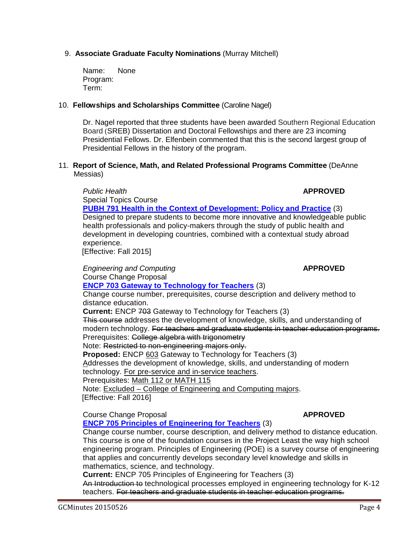# 9. **Associate Graduate Faculty Nominations** (Murray Mitchell)

Name: None Program: Term:

### 10. **Fellowships and Scholarships Committee** (Caroline Nagel)

Dr. Nagel reported that three students have been awarded Southern Regional Education Board (SREB) Dissertation and Doctoral Fellowships and there are 23 incoming Presidential Fellows. Dr. Elfenbein commented that this is the second largest group of Presidential Fellows in the history of the program.

### 11. **Report of Science, Math, and Related Professional Programs Committee** (DeAnne Messias)

*Public Health* **APPROVED** Special Topics Course **[PUBH 791 Health in the Context of Development: Policy and Practice](http://gradschool.sc.edu/facstaff/gradcouncil/2014/HSPM%20791%20Spec%20Top_Redacted.pdf)** (3) Designed to prepare students to become more innovative and knowledgeable public health professionals and policy-makers through the study of public health and development in developing countries, combined with a contextual study abroad experience.

[Effective: Fall 2015]

*Engineering and Computing* **APPROVED** Course Change Proposal **[ENCP 703 Gateway to Technology for Teachers](http://gradschool.sc.edu/facstaff/gradcouncil/2014/ENCP%20703%20CCP_Redacted.pdf)** (3) Change course number, prerequisites, course description and delivery method to distance education. **Current:** ENCP 703 Gateway to Technology for Teachers (3) This course addresses the development of knowledge, skills, and understanding of modern technology. For teachers and graduate students in teacher education programs. Prerequisites: College algebra with trigonometry Note: Restricted to non-engineering majors only. **Proposed:** ENCP 603 Gateway to Technology for Teachers (3) Addresses the development of knowledge, skills, and understanding of modern technology. For pre-service and in-service teachers. Prerequisites: Math 112 or MATH 115 Note: Excluded – College of Engineering and Computing majors. [Effective: Fall 2016]

**Course Change Proposal** *APPROVED* **[ENCP 705 Principles of Engineering for Teachers](http://gradschool.sc.edu/facstaff/gradcouncil/2014/ENCP%20705%20CCP_Redacted.pdf)** (3) Change course number, course description, and delivery method to distance education. This course is one of the foundation courses in the Project Least the way high school engineering program. Principles of Engineering (POE) is a survey course of engineering that applies and concurrently develops secondary level knowledge and skills in

mathematics, science, and technology.

**Current:** ENCP 705 Principles of Engineering for Teachers (3)

An Introduction to technological processes employed in engineering technology for K-12 teachers. For teachers and graduate students in teacher education programs.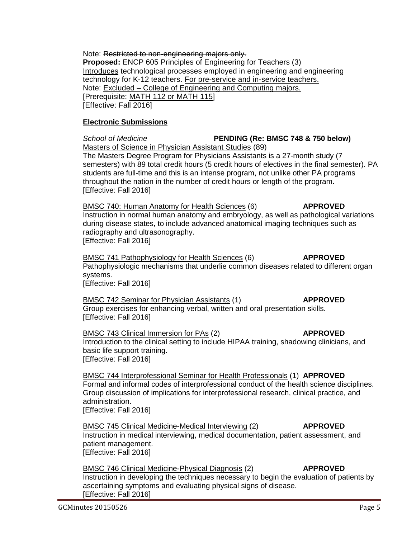Note: Restricted to non-engineering majors only. **Proposed:** ENCP 605 Principles of Engineering for Teachers (3) Introduces technological processes employed in engineering and engineering technology for K-12 teachers. For pre-service and in-service teachers. Note: Excluded – College of Engineering and Computing majors. [Prerequisite: MATH 112 or MATH 115] [Effective: Fall 2016]

### **Electronic Submissions**

*School of Medicine* **PENDING (Re: BMSC 748 & 750 below)** Masters of Science in Physician Assistant Studies (89) The Masters Degree Program for Physicians Assistants is a 27-month study (7 semesters) with 89 total credit hours (5 credit hours of electives in the final semester). PA students are full-time and this is an intense program, not unlike other PA programs

throughout the nation in the number of credit hours or length of the program. [Effective: Fall 2016]

BMSC 740: Human Anatomy for Health Sciences (6) **APPROVED** Instruction in normal human anatomy and embryology, as well as pathological variations during disease states, to include advanced anatomical imaging techniques such as radiography and ultrasonography. [Effective: Fall 2016]

BMSC 741 Pathophysiology for Health Sciences (6) **APPROVED** Pathophysiologic mechanisms that underlie common diseases related to different organ systems. [Effective: Fall 2016]

BMSC 742 Seminar for Physician Assistants (1) **APPROVED** Group exercises for enhancing verbal, written and oral presentation skills. [Effective: Fall 2016]

BMSC 743 Clinical Immersion for PAs (2) **APPROVED** Introduction to the clinical setting to include HIPAA training, shadowing clinicians, and basic life support training. [Effective: Fall 2016]

BMSC 744 Interprofessional Seminar for Health Professionals (1) **APPROVED** Formal and informal codes of interprofessional conduct of the health science disciplines. Group discussion of implications for interprofessional research, clinical practice, and administration. [Effective: Fall 2016]

BMSC 745 Clinical Medicine-Medical Interviewing (2) **APPROVED** Instruction in medical interviewing, medical documentation, patient assessment, and patient management. [Effective: Fall 2016]

BMSC 746 Clinical Medicine-Physical Diagnosis (2) **APPROVED** Instruction in developing the techniques necessary to begin the evaluation of patients by ascertaining symptoms and evaluating physical signs of disease. [Effective: Fall 2016]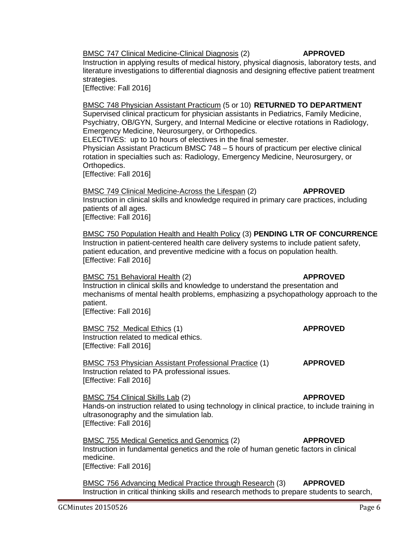BMSC 747 Clinical Medicine-Clinical Diagnosis (2) **APPROVED**

Instruction in applying results of medical history, physical diagnosis, laboratory tests, and literature investigations to differential diagnosis and designing effective patient treatment strategies.

[Effective: Fall 2016]

BMSC 748 Physician Assistant Practicum (5 or 10) **RETURNED TO DEPARTMENT** Supervised clinical practicum for physician assistants in Pediatrics, Family Medicine, Psychiatry, OB/GYN, Surgery, and Internal Medicine or elective rotations in Radiology, Emergency Medicine, Neurosurgery, or Orthopedics.

ELECTIVES: up to 10 hours of electives in the final semester.

Physician Assistant Practicum BMSC 748 – 5 hours of practicum per elective clinical rotation in specialties such as: Radiology, Emergency Medicine, Neurosurgery, or Orthopedics.

[Effective: Fall 2016]

BMSC 749 Clinical Medicine-Across the Lifespan (2) **APPROVED**

Instruction in clinical skills and knowledge required in primary care practices, including patients of all ages. [Effective: Fall 2016]

BMSC 750 Population Health and Health Policy (3) **PENDING LTR OF CONCURRENCE** Instruction in patient-centered health care delivery systems to include patient safety, patient education, and preventive medicine with a focus on population health. [Effective: Fall 2016]

BMSC 751 Behavioral Health (2) **APPROVED** 

Instruction in clinical skills and knowledge to understand the presentation and mechanisms of mental health problems, emphasizing a psychopathology approach to the patient.

[Effective: Fall 2016]

BMSC 752 Medical Ethics (1) **APPROVED** Instruction related to medical ethics. [Effective: Fall 2016]

BMSC 753 Physician Assistant Professional Practice (1) **APPROVED** Instruction related to PA professional issues. [Effective: Fall 2016]

BMSC 754 Clinical Skills Lab (2) **APPROVED** 

Hands-on instruction related to using technology in clinical practice, to include training in ultrasonography and the simulation lab. [Effective: Fall 2016]

BMSC 755 Medical Genetics and Genomics (2) **APPROVED** Instruction in fundamental genetics and the role of human genetic factors in clinical medicine. [Effective: Fall 2016]

BMSC 756 Advancing Medical Practice through Research (3) **APPROVED** Instruction in critical thinking skills and research methods to prepare students to search,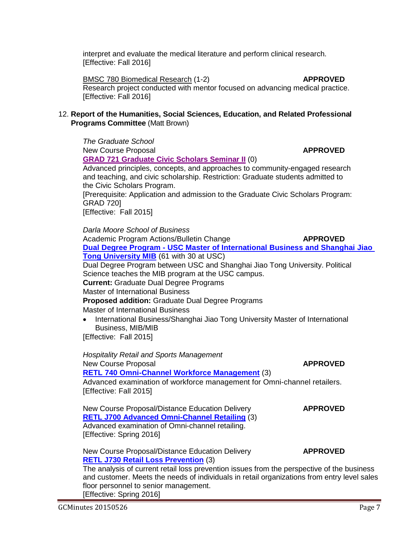Science teaches the MIB program at the USC campus.

Master of International Business

**Proposed addition:** Graduate Dual Degree Programs Master of International Business

• International Business/Shanghai Jiao Tong University Master of International Business, MIB/MIB

[Effective: Fall 2015]

*Hospitality Retail and Sports Management* New Course Proposal **APPROVED [RETL 740 Omni-Channel Workforce Management](http://gradschool.sc.edu/facstaff/gradcouncil/2014/RETL%20740%20NCP-DED1.pdf)** (3) Advanced examination of workforce management for Omni-channel retailers. [Effective: Fall 2015]

New Course Proposal/Distance Education Delivery **APPROVED [RETL J700 Advanced Omni-Channel Retailing](http://gradschool.sc.edu/facstaff/gradcouncil/2014/RETL%20J700%20NCP%20DED.pdf)** (3) Advanced examination of Omni-channel retailing. [Effective: Spring 2016]

New Course Proposal/Distance Education Delivery **APPROVED [RETL J730 Retail Loss Prevention](http://gradschool.sc.edu/facstaff/gradcouncil/2014/RETL%20J730%20NCP%20DED.pdf)** (3)

The analysis of current retail loss prevention issues from the perspective of the business and customer. Meets the needs of individuals in retail organizations from entry level sales floor personnel to senior management. [Effective: Spring 2016]

# interpret and evaluate the medical literature and perform clinical research. [Effective: Fall 2016]

BMSC 780 Biomedical Research (1-2) **APPROVED** Research project conducted with mentor focused on advancing medical practice. [Effective: Fall 2016]

### 12. **Report of the Humanities, Social Sciences, Education, and Related Professional Programs Committee** (Matt Brown)

*The Graduate School* New Course Proposal **APPROVED [GRAD 721 Graduate Civic Scholars Seminar](http://gradschool.sc.edu/facstaff/gradcouncil/2014/Graduate%20Civic%20Scholars%20Seminar%204_Redacted.pdf) II** (0) Advanced principles, concepts, and approaches to community-engaged research and teaching, and civic scholarship. Restriction: Graduate students admitted to the Civic Scholars Program. [Prerequisite: Application and admission to the Graduate Civic Scholars Program: GRAD 720] [Effective: Fall 2015] *Darla Moore School of Business* Academic Program Actions/Bulletin Change **APPROVED Dual Degree Program - [USC Master of International Business and Shanghai Jiao](http://gradschool.sc.edu/facstaff/gradcouncil/2014/Dual%20degree%20Master%20of%20Intl%20Business-SJTU%20MIB%20APA_Redacted1.pdf)  [Tong University MIB](http://gradschool.sc.edu/facstaff/gradcouncil/2014/Dual%20degree%20Master%20of%20Intl%20Business-SJTU%20MIB%20APA_Redacted1.pdf)** (61 with 30 at USC) Dual Degree Program between USC and Shanghai Jiao Tong University. Political **Current:** Graduate Dual Degree Programs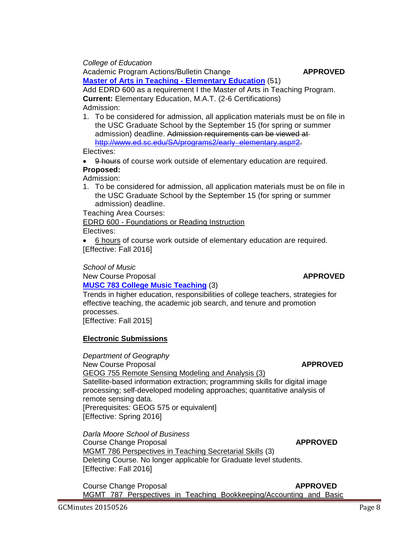• 9 hours of course work outside of elementary education are required.

# **Proposed:**

Electives:

Admission:

Admission:

1. To be considered for admission, all application materials must be on file in the USC Graduate School by the September 15 (for spring or summer admission) deadline.

Add EDRD 600 as a requirement I the Master of Arts in Teaching Program.

1. To be considered for admission, all application materials must be on file in the USC Graduate School by the September 15 (for spring or summer admission) deadline. Admission requirements can be viewed at[http://www.ed.sc.edu/SA/programs2/early\\_elementary.asp#2.](http://www.ed.sc.edu/SA/programs2/early_elementary.asp#2)

Teaching Area Courses:

*College of Education*

EDRD 600 - Foundations or Reading Instruction

**[Master of Arts in Teaching -](http://gradschool.sc.edu/facstaff/gradcouncil/2014/MAT%20Elementary%20ED%20APA_Redacted.pdf) Elementary Education** (51)

**Current:** Elementary Education, M.A.T. (2-6 Certifications)

Electives:

• 6 hours of course work outside of elementary education are required. [Effective: Fall 2016]

### *School of Music*

New Course Proposal **APPROVED** 

### **[MUSC 783 College Music Teaching](http://gradschool.sc.edu/facstaff/gradcouncil/2014/MUSC%20783%20NCP_Redacted.pdf)** (3)

Trends in higher education, responsibilities of college teachers, strategies for effective teaching, the academic job search, and tenure and promotion processes.

[Effective: Fall 2015]

### **Electronic Submissions**

*Department of Geography* New Course Proposal **APPROVED** GEOG 755 Remote Sensing Modeling and Analysis (3) Satellite-based information extraction; programming skills for digital image processing; self-developed modeling approaches; quantitative analysis of remote sensing data. [Prerequisites: GEOG 575 or equivalent] [Effective: Spring 2016]

*Darla Moore School of Business* **Course Change Proposal Course Course Change APPROVED** MGMT 786 Perspectives in Teaching Secretarial Skills (3) Deleting Course. No longer applicable for Graduate level students. [Effective: Fall 2016]

**Course Change Proposal Course Course Change Proposal APPROVED** MGMT 787 Perspectives in Teaching Bookkeeping/Accounting and Basic

Academic Program Actions/Bulletin Change **APPROVED**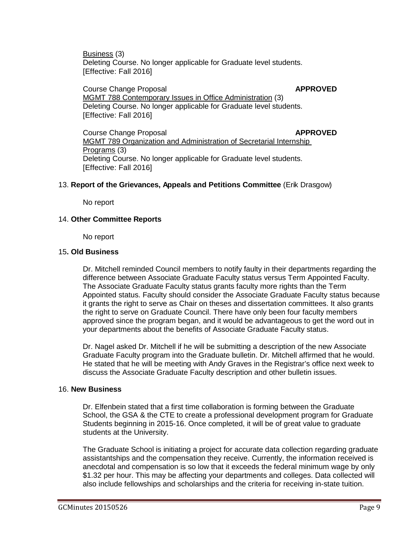Business (3) Deleting Course. No longer applicable for Graduate level students. [Effective: Fall 2016]

**Course Change Proposal Course Course Change Proposal APPROVED** MGMT 788 Contemporary Issues in Office Administration (3) Deleting Course. No longer applicable for Graduate level students. [Effective: Fall 2016]

**Course Change Proposal Course 2018** MGMT 789 [Organization and Administration of Secretarial Internship](http://bulletin.sc.edu/preview_course_nopop.php?catoid=35&coid=75529)  [Programs](http://bulletin.sc.edu/preview_course_nopop.php?catoid=35&coid=75529) (3) Deleting Course. No longer applicable for Graduate level students. [Effective: Fall 2016]

### 13. **Report of the Grievances, Appeals and Petitions Committee** (Erik Drasgow)

No report

### 14. **Other Committee Reports**

No report

### 15**. Old Business**

Dr. Mitchell reminded Council members to notify faulty in their departments regarding the difference between Associate Graduate Faculty status versus Term Appointed Faculty. The Associate Graduate Faculty status grants faculty more rights than the Term Appointed status. Faculty should consider the Associate Graduate Faculty status because it grants the right to serve as Chair on theses and dissertation committees. It also grants the right to serve on Graduate Council. There have only been four faculty members approved since the program began, and it would be advantageous to get the word out in your departments about the benefits of Associate Graduate Faculty status.

Dr. Nagel asked Dr. Mitchell if he will be submitting a description of the new Associate Graduate Faculty program into the Graduate bulletin. Dr. Mitchell affirmed that he would. He stated that he will be meeting with Andy Graves in the Registrar's office next week to discuss the Associate Graduate Faculty description and other bulletin issues.

### 16. **New Business**

Dr. Elfenbein stated that a first time collaboration is forming between the Graduate School, the GSA & the CTE to create a professional development program for Graduate Students beginning in 2015-16. Once completed, it will be of great value to graduate students at the University.

The Graduate School is initiating a project for accurate data collection regarding graduate assistantships and the compensation they receive. Currently, the information received is anecdotal and compensation is so low that it exceeds the federal minimum wage by only \$1.32 per hour. This may be affecting your departments and colleges. Data collected will also include fellowships and scholarships and the criteria for receiving in-state tuition.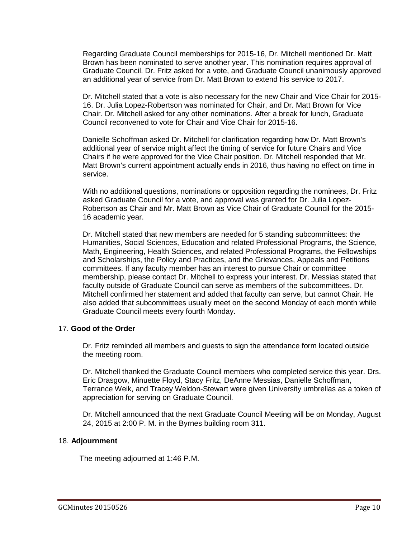Regarding Graduate Council memberships for 2015-16, Dr. Mitchell mentioned Dr. Matt Brown has been nominated to serve another year. This nomination requires approval of Graduate Council. Dr. Fritz asked for a vote, and Graduate Council unanimously approved an additional year of service from Dr. Matt Brown to extend his service to 2017.

Dr. Mitchell stated that a vote is also necessary for the new Chair and Vice Chair for 2015- 16. Dr. Julia Lopez-Robertson was nominated for Chair, and Dr. Matt Brown for Vice Chair. Dr. Mitchell asked for any other nominations. After a break for lunch, Graduate Council reconvened to vote for Chair and Vice Chair for 2015-16.

Danielle Schoffman asked Dr. Mitchell for clarification regarding how Dr. Matt Brown's additional year of service might affect the timing of service for future Chairs and Vice Chairs if he were approved for the Vice Chair position. Dr. Mitchell responded that Mr. Matt Brown's current appointment actually ends in 2016, thus having no effect on time in service.

With no additional questions, nominations or opposition regarding the nominees, Dr. Fritz asked Graduate Council for a vote, and approval was granted for Dr. Julia Lopez-Robertson as Chair and Mr. Matt Brown as Vice Chair of Graduate Council for the 2015- 16 academic year.

Dr. Mitchell stated that new members are needed for 5 standing subcommittees: the Humanities, Social Sciences, Education and related Professional Programs, the Science, Math, Engineering, Health Sciences, and related Professional Programs, the Fellowships and Scholarships, the Policy and Practices, and the Grievances, Appeals and Petitions committees. If any faculty member has an interest to pursue Chair or committee membership, please contact Dr. Mitchell to express your interest. Dr. Messias stated that faculty outside of Graduate Council can serve as members of the subcommittees. Dr. Mitchell confirmed her statement and added that faculty can serve, but cannot Chair. He also added that subcommittees usually meet on the second Monday of each month while Graduate Council meets every fourth Monday.

### 17. **Good of the Order**

Dr. Fritz reminded all members and guests to sign the attendance form located outside the meeting room.

Dr. Mitchell thanked the Graduate Council members who completed service this year. Drs. Eric Drasgow, Minuette Floyd, Stacy Fritz, DeAnne Messias, Danielle Schoffman, Terrance Weik, and Tracey Weldon-Stewart were given University umbrellas as a token of appreciation for serving on Graduate Council.

Dr. Mitchell announced that the next Graduate Council Meeting will be on Monday, August 24, 2015 at 2:00 P. M. in the Byrnes building room 311.

### 18. **Adjournment**

The meeting adjourned at 1:46 P.M.